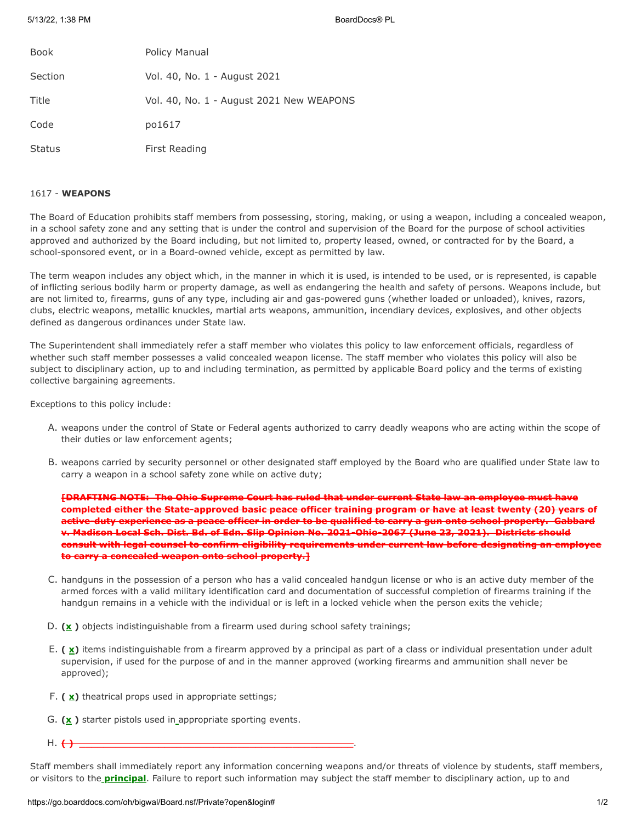| <b>Book</b>   | Policy Manual                            |
|---------------|------------------------------------------|
| Section       | Vol. 40, No. 1 - August 2021             |
| Title         | Vol. 40, No. 1 - August 2021 New WEAPONS |
| Code          | po1617                                   |
| <b>Status</b> | First Reading                            |

## 1617 - **WEAPONS**

The Board of Education prohibits staff members from possessing, storing, making, or using a weapon, including a concealed weapon, in a school safety zone and any setting that is under the control and supervision of the Board for the purpose of school activities approved and authorized by the Board including, but not limited to, property leased, owned, or contracted for by the Board, a school-sponsored event, or in a Board-owned vehicle, except as permitted by law.

The term weapon includes any object which, in the manner in which it is used, is intended to be used, or is represented, is capable of inflicting serious bodily harm or property damage, as well as endangering the health and safety of persons. Weapons include, but are not limited to, firearms, guns of any type, including air and gas-powered guns (whether loaded or unloaded), knives, razors, clubs, electric weapons, metallic knuckles, martial arts weapons, ammunition, incendiary devices, explosives, and other objects defined as dangerous ordinances under State law.

The Superintendent shall immediately refer a staff member who violates this policy to law enforcement officials, regardless of whether such staff member possesses a valid concealed weapon license. The staff member who violates this policy will also be subject to disciplinary action, up to and including termination, as permitted by applicable Board policy and the terms of existing collective bargaining agreements.

Exceptions to this policy include:

- A. weapons under the control of State or Federal agents authorized to carry deadly weapons who are acting within the scope of their duties or law enforcement agents;
- B. weapons carried by security personnel or other designated staff employed by the Board who are qualified under State law to carry a weapon in a school safety zone while on active duty;

**[DRAFTING NOTE: The Ohio Supreme Court has ruled that under current State law an employee must have completed either the State-approved basic peace officer training program or have at least twenty (20) years of active-duty experience as a peace officer in order to be qualified to carry a gun onto school property. Gabbard v. Madison Local Sch. Dist. Bd. of Edn. Slip Opinion No. 2021-Ohio-2067 (June 23, 2021). Districts should consult with legal counsel to confirm eligibility requirements under current law before designating an employee to carry a concealed weapon onto school property.]**

- C. handguns in the possession of a person who has a valid concealed handgun license or who is an active duty member of the armed forces with a valid military identification card and documentation of successful completion of firearms training if the handgun remains in a vehicle with the individual or is left in a locked vehicle when the person exits the vehicle;
- D. **(x )** objects indistinguishable from a firearm used during school safety trainings;
- E. (  $\mathbf{x}$ ) items indistinguishable from a firearm approved by a principal as part of a class or individual presentation under adult supervision, if used for the purpose of and in the manner approved (working firearms and ammunition shall never be approved);
- F. **( x)** theatrical props used in appropriate settings;
- G. **(x )** starter pistols used in appropriate sporting events.
- H. <del>( ) \_\_\_\_</del>

Staff members shall immediately report any information concerning weapons and/or threats of violence by students, staff members, or visitors to the **principal**. Failure to report such information may subject the staff member to disciplinary action, up to and